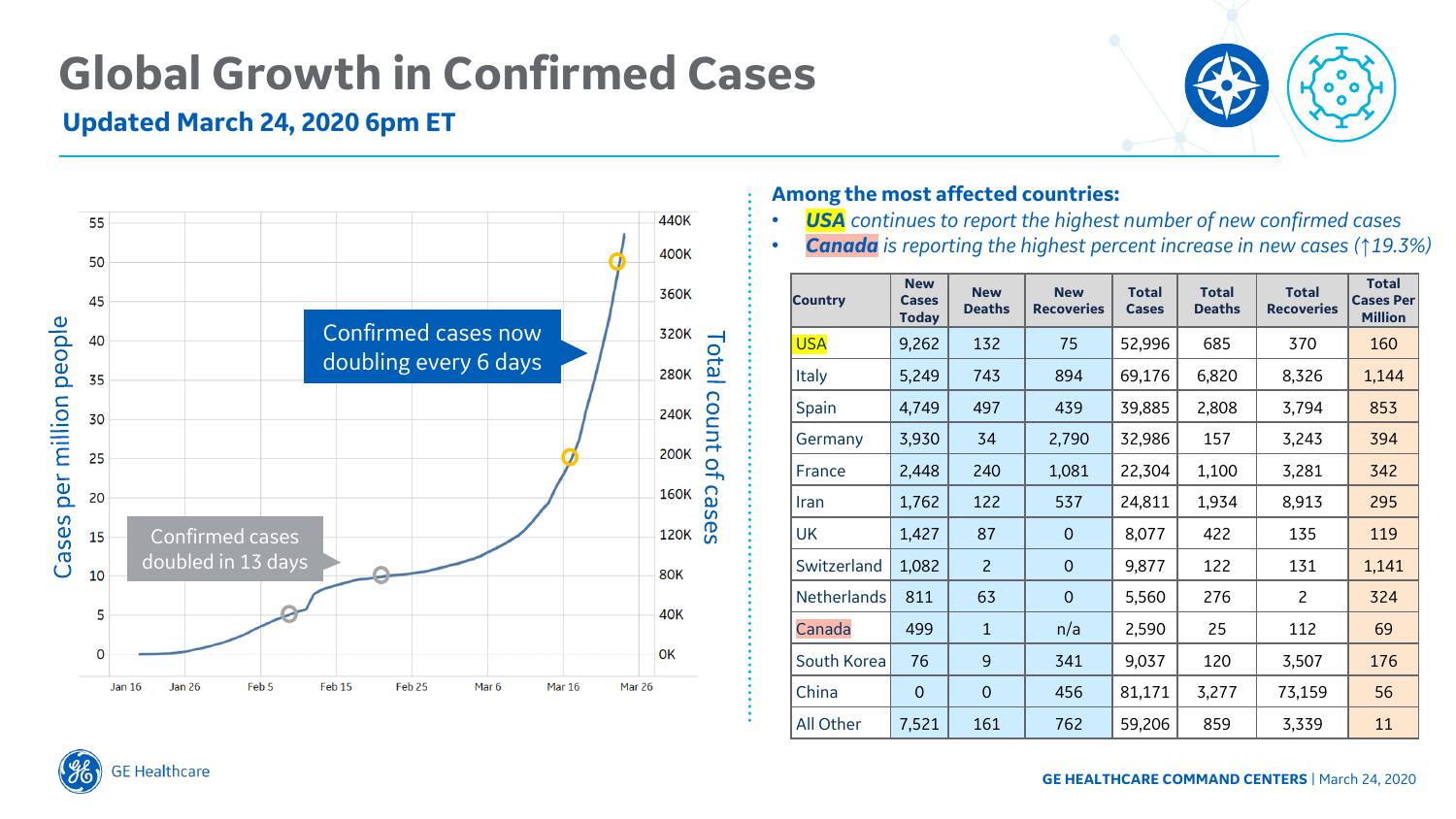## **Global Growth in Confirmed Cases**

### **Updated March 24, 2020 6pm ET**





#### **Among the most affected countries:**

- *USA continues to report the highest number of new confirmed cases*
- *Canada is reporting the highest percent increase in new cases (↑19.3%)*

| <b>Country</b> | <b>New</b><br><b>Cases</b><br><b>Today</b> | <b>New</b><br><b>Deaths</b> | <b>New</b><br><b>Recoveries</b> | <b>Total</b><br><b>Cases</b> | <b>Total</b><br><b>Deaths</b> | <b>Total</b><br><b>Recoveries</b> | <b>Total</b><br><b>Cases Per</b><br><b>Million</b> |
|----------------|--------------------------------------------|-----------------------------|---------------------------------|------------------------------|-------------------------------|-----------------------------------|----------------------------------------------------|
| <b>USA</b>     | 9,262                                      | 132                         | 75                              | 52,996                       | 685                           | 370                               | 160                                                |
| <b>Italy</b>   | 5,249                                      | 743                         | 894                             | 69,176                       | 6,820                         | 8,326                             | 1,144                                              |
| Spain          | 4,749                                      | 497                         | 439                             | 39,885                       | 2,808                         | 3,794                             | 853                                                |
| Germany        | 3,930                                      | 34                          | 2,790                           | 32,986                       | 157                           | 3,243                             | 394                                                |
| France         | 2,448                                      | 240                         | 1,081                           | 22,304                       | 1,100                         | 3,281                             | 342                                                |
| <b>Iran</b>    | 1,762                                      | 122                         | 537                             | 24,811                       | 1,934                         | 8,913                             | 295                                                |
| <b>UK</b>      | 1,427                                      | 87                          | $\overline{0}$                  | 8,077                        | 422                           | 135                               | 119                                                |
| Switzerland    | 1,082                                      | $\overline{c}$              | $\overline{0}$                  | 9,877                        | 122                           | 131                               | 1,141                                              |
| Netherlands    | 811                                        | 63                          | $\overline{0}$                  | 5,560                        | 276                           | $\overline{c}$                    | 324                                                |
| Canada         | 499                                        | $\mathbf{1}$                | n/a                             | 2,590                        | 25                            | 112                               | 69                                                 |
| South Korea    | 76                                         | 9                           | 341                             | 9,037                        | 120                           | 3,507                             | 176                                                |
| China          | $\overline{0}$                             | $\overline{0}$              | 456                             | 81,171                       | 3,277                         | 73,159                            | 56                                                 |
| All Other      | 7,521                                      | 161                         | 762                             | 59,206                       | 859                           | 3,339                             | 11                                                 |

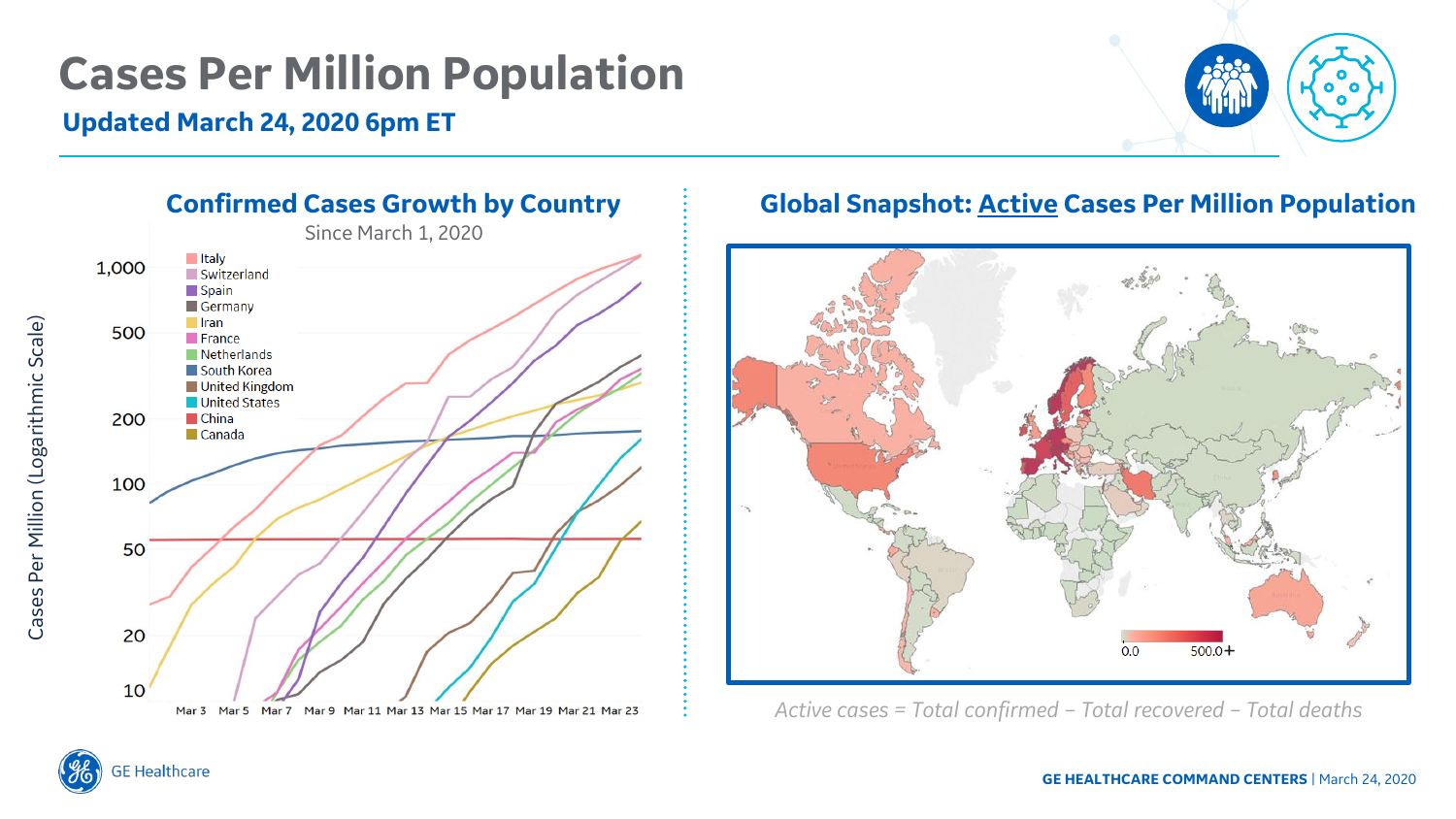### **Cases Per Million Population**

#### **Updated March 24, 2020 6pm ET**





### **Global Snapshot: Active Cases Per Million Population**



*Active cases = Total confirmed – Total recovered – Total deaths* 



Cases Per Million (Logarithmic Scale)

Cases Per Million (Logarithmic Scale)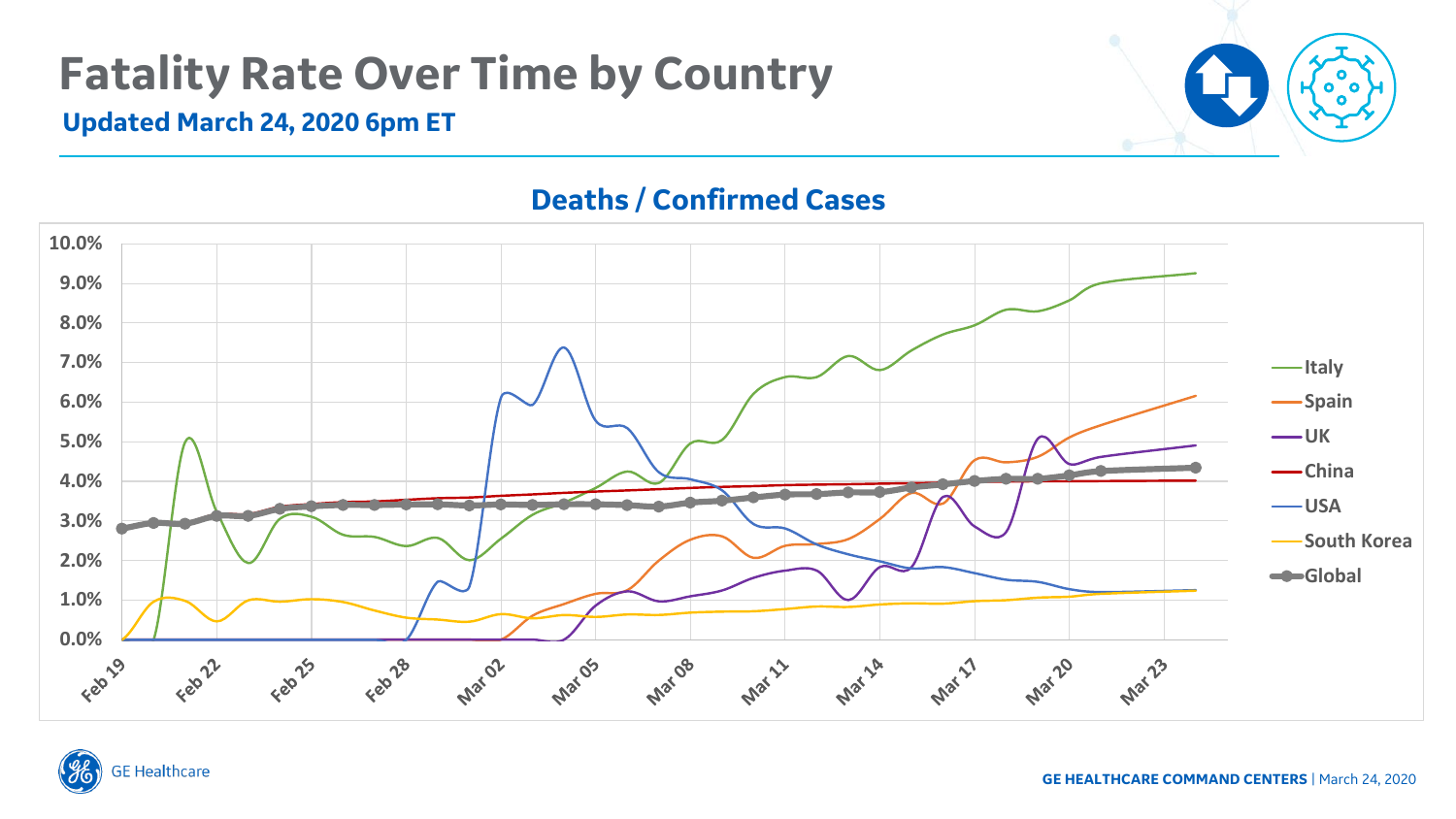## **Fatality Rate Over Time by Country**

#### **Updated March 24, 2020 6pm ET**



### **Deaths / Confirmed Cases**



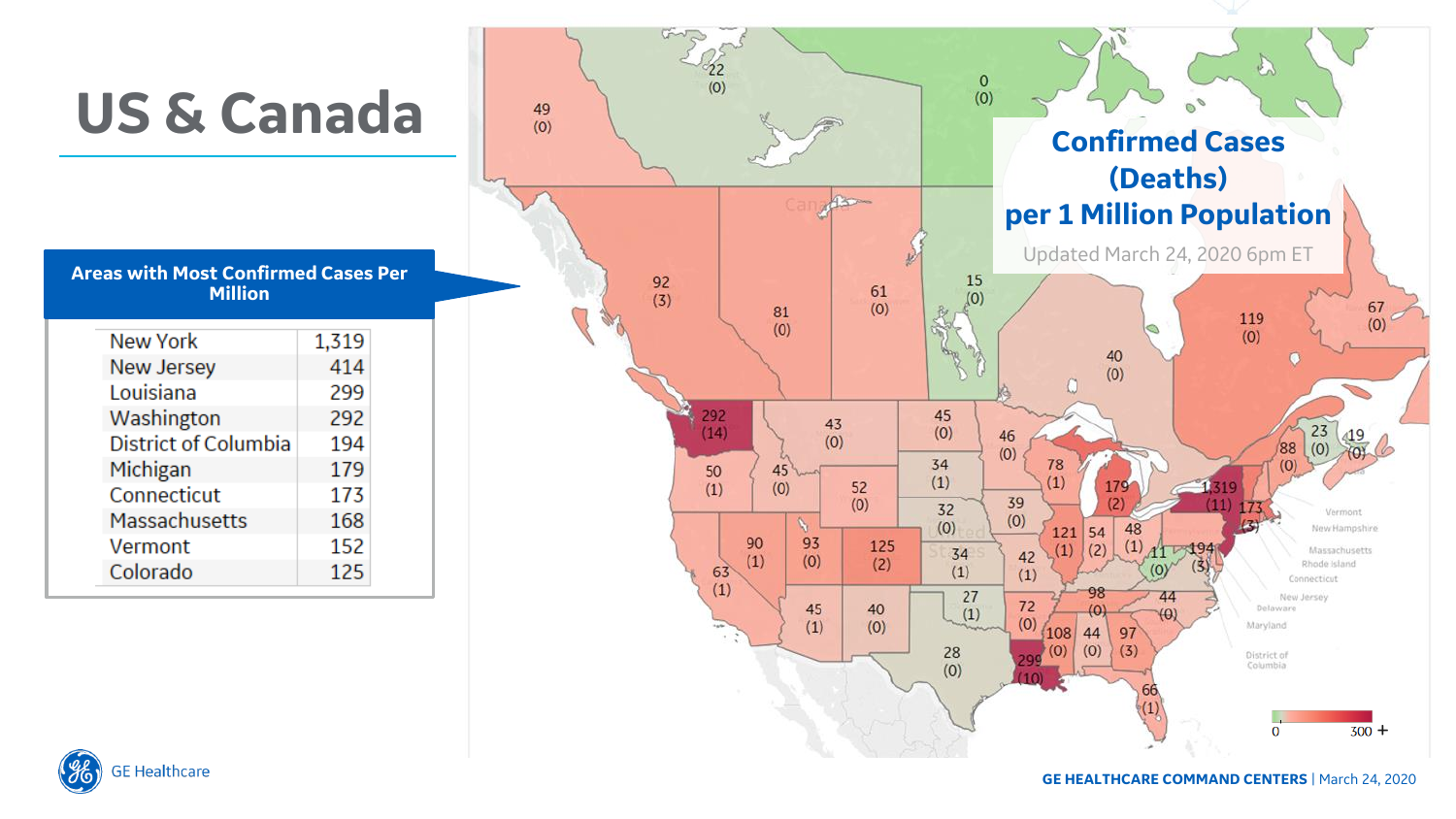

**GE Healthcare**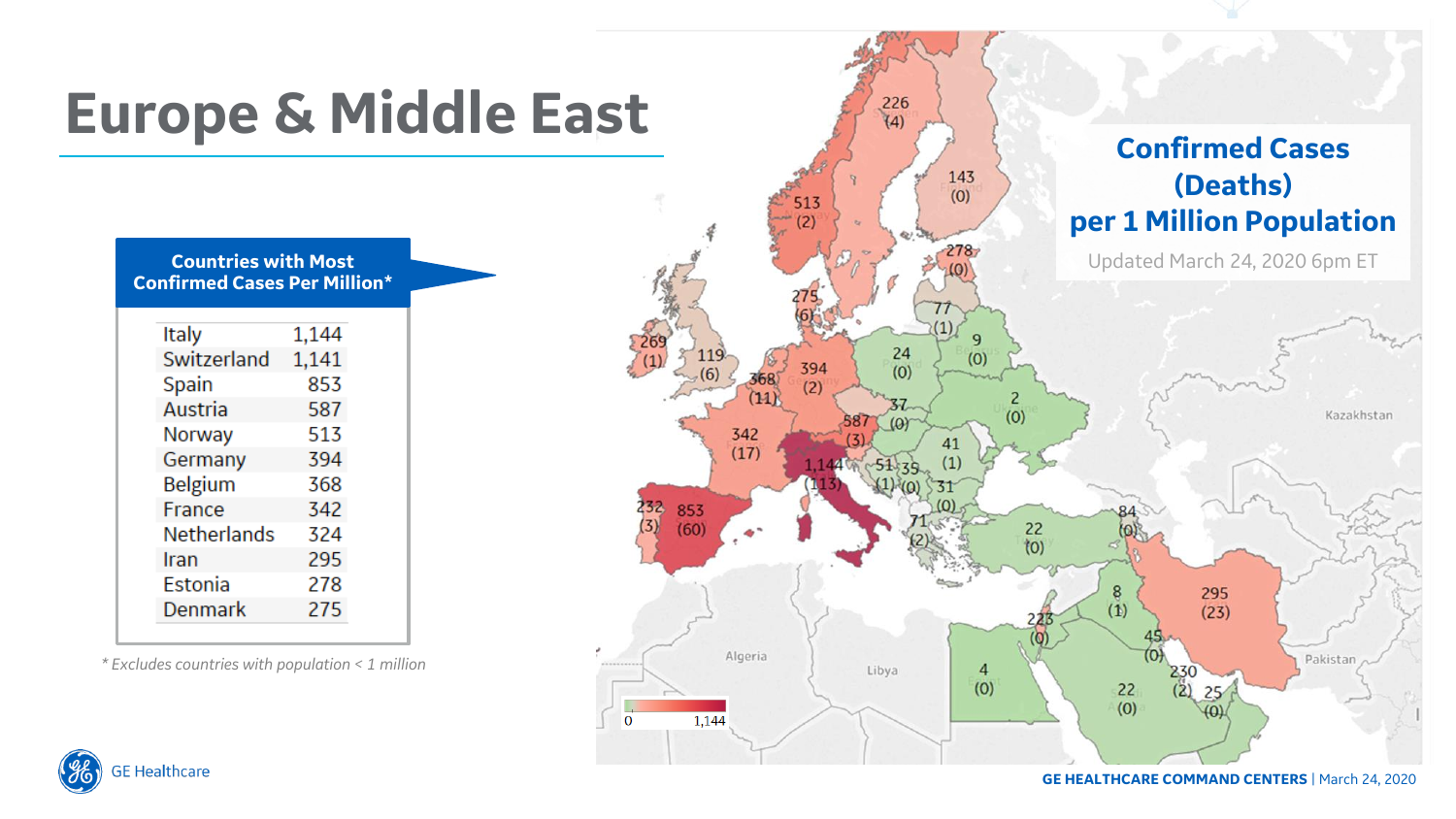

**GE Healthcare** 

**GE HEALTHCARE COMMAND CENTERS** | March 24, 2020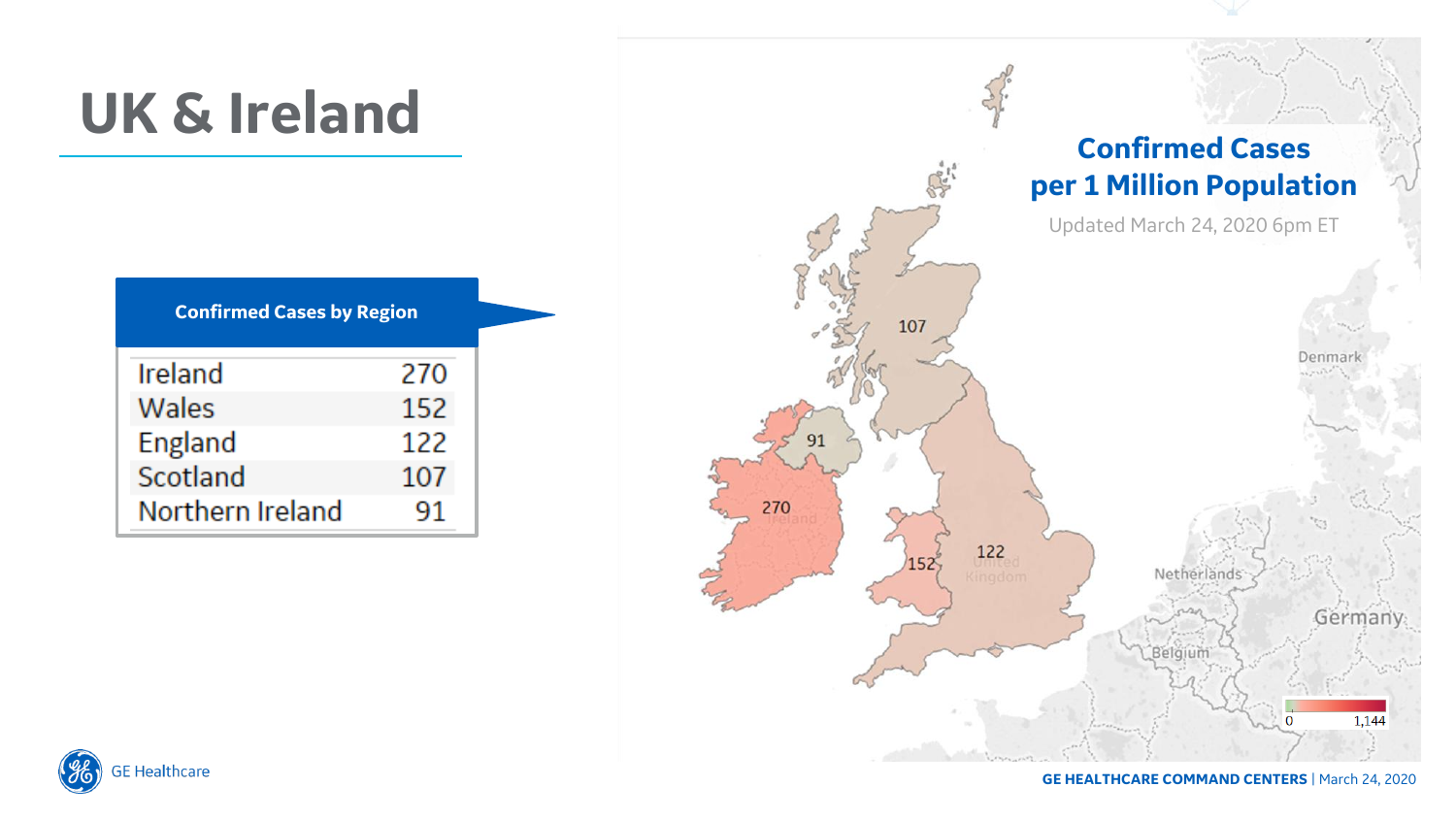# **UK & Ireland**

| <b>Confirmed Cases by Region</b> |     |  |  |  |  |
|----------------------------------|-----|--|--|--|--|
| Ireland                          | 270 |  |  |  |  |
| Wales                            | 152 |  |  |  |  |
| England                          | 122 |  |  |  |  |
| Scotland                         | 107 |  |  |  |  |
| Northern Ireland                 | 91  |  |  |  |  |